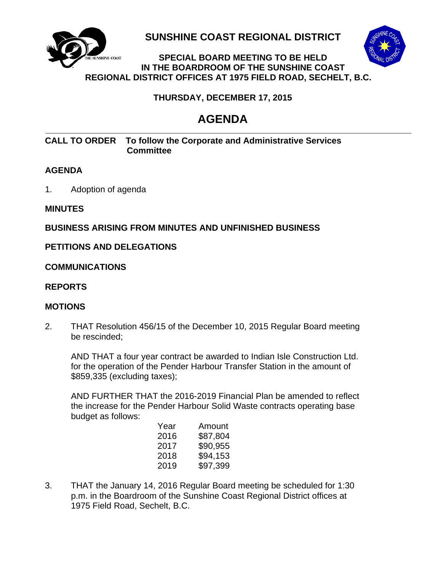

**SUNSHINE COAST REGIONAL DISTRICT**



#### **SPECIAL BOARD MEETING TO BE HELD HINE-COAST IN THE BOARDROOM OF THE SUNSHINE COAST REGIONAL DISTRICT OFFICES AT 1975 FIELD ROAD, SECHELT, B.C.**

 **THURSDAY, DECEMBER 17, 2015**

# **AGENDA**

#### **CALL TO ORDER To follow the Corporate and Administrative Services Committee**

## **AGENDA**

1. Adoption of agenda

#### **MINUTES**

#### **BUSINESS ARISING FROM MINUTES AND UNFINISHED BUSINESS**

## **PETITIONS AND DELEGATIONS**

#### **COMMUNICATIONS**

#### **REPORTS**

#### **MOTIONS**

2. THAT Resolution 456/15 of the December 10, 2015 Regular Board meeting be rescinded;

AND THAT a four year contract be awarded to Indian Isle Construction Ltd. for the operation of the Pender Harbour Transfer Station in the amount of \$859,335 (excluding taxes);

AND FURTHER THAT the 2016-2019 Financial Plan be amended to reflect the increase for the Pender Harbour Solid Waste contracts operating base budget as follows:

| Year | Amount   |
|------|----------|
| 2016 | \$87,804 |
| 2017 | \$90,955 |
| 2018 | \$94,153 |
| 2019 | \$97,399 |
|      |          |

3. THAT the January 14, 2016 Regular Board meeting be scheduled for 1:30 p.m. in the Boardroom of the Sunshine Coast Regional District offices at 1975 Field Road, Sechelt, B.C.